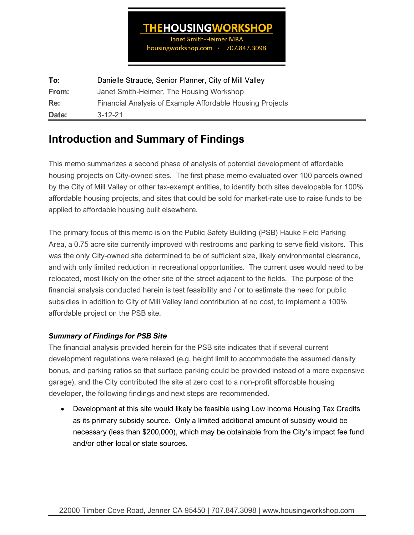### **THEHOUSINGWORKSHOP**

**Janet Smith-Heimer MBA** housingworkshop.com \* 707.847.3098

**To:** Danielle Straude, Senior Planner, City of Mill Valley **From:** Janet Smith-Heimer, The Housing Workshop **Re:** Financial Analysis of Example Affordable Housing Projects **Date:** 3-12-21

## **Introduction and Summary of Findings**

This memo summarizes a second phase of analysis of potential development of affordable housing projects on City-owned sites. The first phase memo evaluated over 100 parcels owned by the City of Mill Valley or other tax-exempt entities, to identify both sites developable for 100% affordable housing projects, and sites that could be sold for market-rate use to raise funds to be applied to affordable housing built elsewhere.

The primary focus of this memo is on the Public Safety Building (PSB) Hauke Field Parking Area, a 0.75 acre site currently improved with restrooms and parking to serve field visitors. This was the only City-owned site determined to be of sufficient size, likely environmental clearance, and with only limited reduction in recreational opportunities. The current uses would need to be relocated, most likely on the other site of the street adjacent to the fields. The purpose of the financial analysis conducted herein is test feasibility and / or to estimate the need for public subsidies in addition to City of Mill Valley land contribution at no cost, to implement a 100% affordable project on the PSB site.

### *Summary of Findings for PSB Site*

The financial analysis provided herein for the PSB site indicates that if several current development regulations were relaxed (e.g, height limit to accommodate the assumed density bonus, and parking ratios so that surface parking could be provided instead of a more expensive garage), and the City contributed the site at zero cost to a non-profit affordable housing developer, the following findings and next steps are recommended.

• Development at this site would likely be feasible using Low Income Housing Tax Credits as its primary subsidy source. Only a limited additional amount of subsidy would be necessary (less than \$200,000), which may be obtainable from the City's impact fee fund and/or other local or state sources.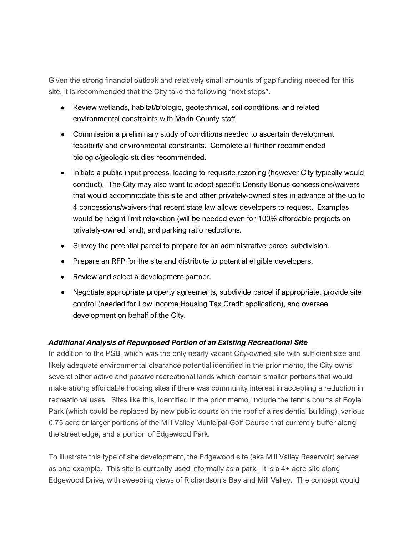Given the strong financial outlook and relatively small amounts of gap funding needed for this site, it is recommended that the City take the following "next steps".

- Review wetlands, habitat/biologic, geotechnical, soil conditions, and related environmental constraints with Marin County staff
- Commission a preliminary study of conditions needed to ascertain development feasibility and environmental constraints. Complete all further recommended biologic/geologic studies recommended.
- Initiate a public input process, leading to requisite rezoning (however City typically would conduct). The City may also want to adopt specific Density Bonus concessions/waivers that would accommodate this site and other privately-owned sites in advance of the up to 4 concessions/waivers that recent state law allows developers to request. Examples would be height limit relaxation (will be needed even for 100% affordable projects on privately-owned land), and parking ratio reductions.
- Survey the potential parcel to prepare for an administrative parcel subdivision.
- Prepare an RFP for the site and distribute to potential eligible developers.
- Review and select a development partner.
- Negotiate appropriate property agreements, subdivide parcel if appropriate, provide site control (needed for Low Income Housing Tax Credit application), and oversee development on behalf of the City.

### *Additional Analysis of Repurposed Portion of an Existing Recreational Site*

In addition to the PSB, which was the only nearly vacant City-owned site with sufficient size and likely adequate environmental clearance potential identified in the prior memo, the City owns several other active and passive recreational lands which contain smaller portions that would make strong affordable housing sites if there was community interest in accepting a reduction in recreational uses. Sites like this, identified in the prior memo, include the tennis courts at Boyle Park (which could be replaced by new public courts on the roof of a residential building), various 0.75 acre or larger portions of the Mill Valley Municipal Golf Course that currently buffer along the street edge, and a portion of Edgewood Park.

To illustrate this type of site development, the Edgewood site (aka Mill Valley Reservoir) serves as one example. This site is currently used informally as a park. It is a 4+ acre site along Edgewood Drive, with sweeping views of Richardson's Bay and Mill Valley. The concept would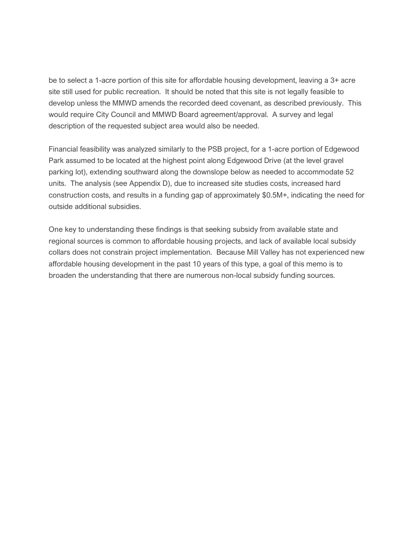be to select a 1-acre portion of this site for affordable housing development, leaving a 3+ acre site still used for public recreation. It should be noted that this site is not legally feasible to develop unless the MMWD amends the recorded deed covenant, as described previously. This would require City Council and MMWD Board agreement/approval. A survey and legal description of the requested subject area would also be needed.

Financial feasibility was analyzed similarly to the PSB project, for a 1-acre portion of Edgewood Park assumed to be located at the highest point along Edgewood Drive (at the level gravel parking lot), extending southward along the downslope below as needed to accommodate 52 units. The analysis (see Appendix D), due to increased site studies costs, increased hard construction costs, and results in a funding gap of approximately \$0.5M+, indicating the need for outside additional subsidies.

One key to understanding these findings is that seeking subsidy from available state and regional sources is common to affordable housing projects, and lack of available local subsidy collars does not constrain project implementation. Because Mill Valley has not experienced new affordable housing development in the past 10 years of this type, a goal of this memo is to broaden the understanding that there are numerous non-local subsidy funding sources.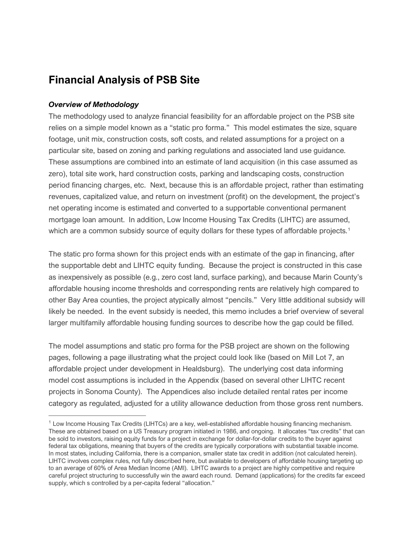### **Financial Analysis of PSB Site**

#### *Overview of Methodology*

The methodology used to analyze financial feasibility for an affordable project on the PSB site relies on a simple model known as a "static pro forma." This model estimates the size, square footage, unit mix, construction costs, soft costs, and related assumptions for a project on a particular site, based on zoning and parking regulations and associated land use guidance. These assumptions are combined into an estimate of land acquisition (in this case assumed as zero), total site work, hard construction costs, parking and landscaping costs, construction period financing charges, etc. Next, because this is an affordable project, rather than estimating revenues, capitalized value, and return on investment (profit) on the development, the project's net operating income is estimated and converted to a supportable conventional permanent mortgage loan amount. In addition, Low Income Housing Tax Credits (LIHTC) are assumed, which are a common subsidy source of equity dollars for these types of affordable projects.<sup>[1](#page-3-0)</sup>

The static pro forma shown for this project ends with an estimate of the gap in financing, after the supportable debt and LIHTC equity funding. Because the project is constructed in this case as inexpensively as possible (e.g., zero cost land, surface parking), and because Marin County's affordable housing income thresholds and corresponding rents are relatively high compared to other Bay Area counties, the project atypically almost "pencils." Very little additional subsidy will likely be needed. In the event subsidy is needed, this memo includes a brief overview of several larger multifamily affordable housing funding sources to describe how the gap could be filled.

The model assumptions and static pro forma for the PSB project are shown on the following pages, following a page illustrating what the project could look like (based on Mill Lot 7, an affordable project under development in Healdsburg). The underlying cost data informing model cost assumptions is included in the Appendix (based on several other LIHTC recent projects in Sonoma County). The Appendices also include detailed rental rates per income category as regulated, adjusted for a utility allowance deduction from those gross rent numbers.

<span id="page-3-0"></span> $1$  Low Income Housing Tax Credits (LIHTCs) are a key, well-established affordable housing financing mechanism. These are obtained based on a US Treasury program initiated in 1986, and ongoing. It allocates "tax credits" that can be sold to investors, raising equity funds for a project in exchange for dollar-for-dollar credits to the buyer against federal tax obligations, meaning that buyers of the credits are typically corporations with substantial taxable income. In most states, including California, there is a companion, smaller state tax credit in addition (not calculated herein). LIHTC involves complex rules, not fully described here, but available to developers of affordable housing targeting up to an average of 60% of Area Median Income (AMI). LIHTC awards to a project are highly competitive and require careful project structuring to successfully win the award each round. Demand (applications) for the credits far exceed supply, which s controlled by a per-capita federal "allocation."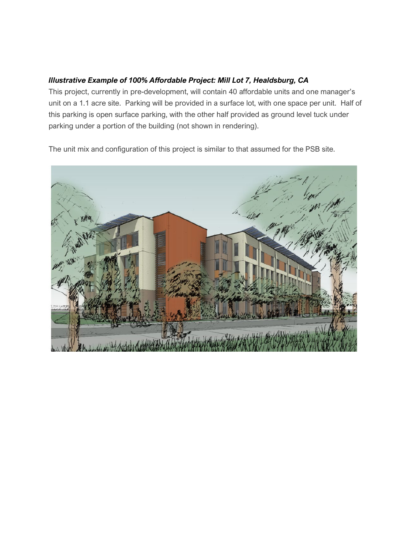#### *Illustrative Example of 100% Affordable Project: Mill Lot 7, Healdsburg, CA*

This project, currently in pre-development, will contain 40 affordable units and one manager's unit on a 1.1 acre site. Parking will be provided in a surface lot, with one space per unit. Half of this parking is open surface parking, with the other half provided as ground level tuck under parking under a portion of the building (not shown in rendering).

The unit mix and configuration of this project is similar to that assumed for the PSB site.

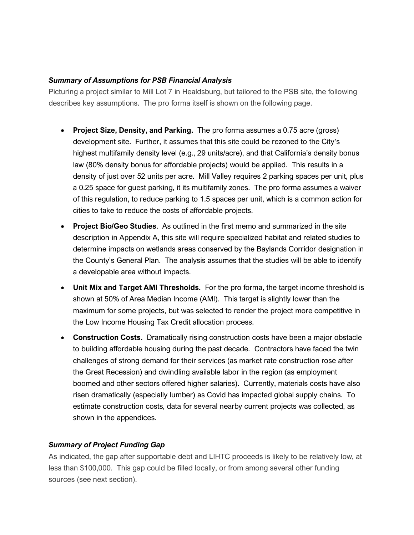#### *Summary of Assumptions for PSB Financial Analysis*

Picturing a project similar to Mill Lot 7 in Healdsburg, but tailored to the PSB site, the following describes key assumptions. The pro forma itself is shown on the following page.

- **Project Size, Density, and Parking.** The pro forma assumes a 0.75 acre (gross) development site. Further, it assumes that this site could be rezoned to the City's highest multifamily density level (e.g., 29 units/acre), and that California's density bonus law (80% density bonus for affordable projects) would be applied. This results in a density of just over 52 units per acre. Mill Valley requires 2 parking spaces per unit, plus a 0.25 space for guest parking, it its multifamily zones. The pro forma assumes a waiver of this regulation, to reduce parking to 1.5 spaces per unit, which is a common action for cities to take to reduce the costs of affordable projects.
- **Project Bio/Geo Studies**. As outlined in the first memo and summarized in the site description in Appendix A, this site will require specialized habitat and related studies to determine impacts on wetlands areas conserved by the Baylands Corridor designation in the County's General Plan. The analysis assumes that the studies will be able to identify a developable area without impacts.
- **Unit Mix and Target AMI Thresholds.** For the pro forma, the target income threshold is shown at 50% of Area Median Income (AMI). This target is slightly lower than the maximum for some projects, but was selected to render the project more competitive in the Low Income Housing Tax Credit allocation process.
- **Construction Costs.** Dramatically rising construction costs have been a major obstacle to building affordable housing during the past decade. Contractors have faced the twin challenges of strong demand for their services (as market rate construction rose after the Great Recession) and dwindling available labor in the region (as employment boomed and other sectors offered higher salaries). Currently, materials costs have also risen dramatically (especially lumber) as Covid has impacted global supply chains. To estimate construction costs, data for several nearby current projects was collected, as shown in the appendices.

#### *Summary of Project Funding Gap*

As indicated, the gap after supportable debt and LIHTC proceeds is likely to be relatively low, at less than \$100,000. This gap could be filled locally, or from among several other funding sources (see next section).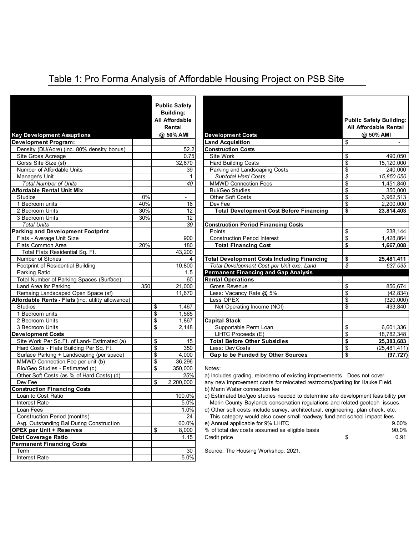### Table 1: Pro Forma Analysis of Affordable Housing Project on PSB Site

| <b>Key Development Assuptions</b>                 |     |                                    | <b>Public Safety</b><br><b>Building:</b><br><b>All Affordable</b><br>Rental<br>@ 50% AMI | <b>Development Costs</b>                                                          | <b>Public Safety Building:</b><br>All Affordable Rental<br>@ 50% AMI |
|---------------------------------------------------|-----|------------------------------------|------------------------------------------------------------------------------------------|-----------------------------------------------------------------------------------|----------------------------------------------------------------------|
| <b>Development Program:</b>                       |     |                                    |                                                                                          | <b>Land Acquisition</b>                                                           | \$<br>$\sim 100$                                                     |
| Density (DU/Acre) (inc. 80% density bonus)        |     |                                    | 52.2                                                                                     | <b>Construction Costs</b>                                                         |                                                                      |
| Site Gross Acreage                                |     |                                    | 0.75                                                                                     | Site Work                                                                         | \$<br>490.050                                                        |
| Gorss Site Size (sf)                              |     |                                    | 32,670                                                                                   | <b>Hard Building Costs</b>                                                        | \$<br>15,120,000                                                     |
| Number of Affordable Units                        |     |                                    | 39                                                                                       | Parking and Landscaping Costs                                                     | \$<br>240,000                                                        |
| Manager's Unit                                    |     |                                    | $\mathbf{1}$                                                                             | <b>Subtotal Hard Costs</b>                                                        | \$<br>15,850,050                                                     |
| <b>Total Number of Units</b>                      |     |                                    | 40                                                                                       | <b>MMWD Connection Fees</b>                                                       | \$<br>1,451,840                                                      |
| <b>Affordable Rental Unit Mix</b>                 |     |                                    |                                                                                          | <b>Bui/Geo Studies</b>                                                            | \$<br>350.000                                                        |
| <b>Studios</b>                                    | 0%  |                                    |                                                                                          | <b>Other Soft Costs</b>                                                           | \$<br>3,962,513                                                      |
| 1 Bedroom units                                   | 40% |                                    | 16                                                                                       | Dev Fee                                                                           | \$<br>2,200,000                                                      |
| 2 Bedroom Units                                   | 30% |                                    | 12                                                                                       | <b>Total Development Cost Before Financing</b>                                    | \$<br>23,814,403                                                     |
| 3 Bedroom Units                                   | 30% |                                    | $\overline{12}$                                                                          |                                                                                   |                                                                      |
| <b>Total Units</b>                                |     |                                    | 39                                                                                       | <b>Construction Period Financing Costs</b>                                        |                                                                      |
| <b>Parking and Development Footprint</b>          |     |                                    |                                                                                          | Points                                                                            | \$<br>238,144                                                        |
| Flats - Average Unit Size                         |     |                                    | 900                                                                                      | <b>Construction Period Interest</b>                                               | \$<br>1,428,864                                                      |
| Flats Common Area                                 | 20% |                                    | 180                                                                                      | <b>Total Financing Cost</b>                                                       | \$<br>1,667,008                                                      |
| Total Flats Residential Sq. Ft.                   |     |                                    | 43,200                                                                                   |                                                                                   |                                                                      |
| Number of Stories                                 |     |                                    | 4                                                                                        | <b>Total Development Costs Including Financing</b>                                | \$<br>25,481,411                                                     |
| Footprint of Residential Building                 |     |                                    | 10,800                                                                                   | Total Development Cost per Unit exc. Land                                         | \$<br>637,035                                                        |
| Parking Ratio                                     |     |                                    | 1.5                                                                                      | <b>Permanent Financing and Gap Analysis</b>                                       |                                                                      |
| Total Number of Parking Spaces (Surface)          |     |                                    | 60                                                                                       | <b>Rental Operations</b>                                                          |                                                                      |
| Land Area for Parking                             | 350 |                                    | 21,000                                                                                   | Gross Revenue                                                                     | \$<br>856,674                                                        |
| Remaing Landscaped Open Space (sf)                |     |                                    | 11,670                                                                                   | Less: Vacancy Rate @ 5%                                                           | \$<br>(42, 834)                                                      |
| Affordable Rents - Flats (inc. utility allowance) |     |                                    |                                                                                          | Less OPEX                                                                         | \$<br>(320,000)                                                      |
| <b>Studios</b>                                    |     | \$                                 | 1,467                                                                                    | Net Operating Income (NOI)                                                        | \$<br>493,840                                                        |
| 1 Bedroom units                                   |     | \$                                 | 1,565                                                                                    |                                                                                   |                                                                      |
| 2 Bedroom Units                                   |     | \$                                 | 1,867                                                                                    | <b>Capital Stack</b>                                                              |                                                                      |
| 3 Bedroom Units                                   |     | \$                                 | 2,148                                                                                    | Supportable Perm Loan                                                             | \$<br>6,601,336                                                      |
| <b>Development Costs</b>                          |     |                                    |                                                                                          | LIHTC Proceeds (E)                                                                | \$<br>18,782,348                                                     |
| Site Work Per Sq.Ft. of Land- Estimated (a)       |     | \$                                 | 15                                                                                       | <b>Total Before Other Subsidies</b>                                               | \$<br>25, 383, 683                                                   |
| Hard Costs - Flats Building Per Sq. Ft.           |     | \$                                 | 350                                                                                      | Less: Dev Costs                                                                   | \$<br>(25, 481, 411)                                                 |
| Surface Parking + Landscaping (per space)         |     | $\overline{\boldsymbol{\epsilon}}$ | 4,000                                                                                    | Gap to be Funded by Other Sources                                                 | \$<br>(97, 727)                                                      |
| MMWD Connection Fee per unit (b)                  |     | \$                                 | 36,296                                                                                   |                                                                                   |                                                                      |
| Bio/Geo Studies - Estimated (c)                   |     | \$                                 | 350,000                                                                                  | Notes:                                                                            |                                                                      |
| Other Soft Costs (as % of Hard Costs) (d)         |     |                                    | 25%                                                                                      | a) Includes grading, relo/demo of existing improvements. Does not cover           |                                                                      |
| Dev Fee                                           |     | \$                                 | 2,200,000                                                                                | any new improvement costs for relocated restrooms/parking for Hauke Field.        |                                                                      |
| <b>Construction Financing Costs</b>               |     |                                    |                                                                                          | b) Marin Water connection fee                                                     |                                                                      |
| Loan to Cost Ratio                                |     |                                    | 100.0%                                                                                   | c) Estimated bio/geo studies needed to determine site development feasibility per |                                                                      |
| <b>Interest Rate</b>                              |     |                                    | 5.0%                                                                                     | Marin County Baylands conservation regulations and related geotech issues.        |                                                                      |
| Loan Fees                                         |     |                                    | 1.0%                                                                                     | d) Other soft costs include survey, architectural, engineering, plan check, etc.  |                                                                      |
| Construction Period (months)                      |     |                                    | 24                                                                                       | This category would also cover small roadway fund and school impact fees.         |                                                                      |
| Avg. Outstanding Bal During Construction          |     |                                    | 60.0%                                                                                    | e) Annual applicable for 9% LIHTC                                                 | 9.00%                                                                |
| <b>OPEX</b> per Unit + Reserves                   |     | \$                                 | 8,000                                                                                    | % of total dev costs assumed as eligible basis                                    | 90.0%                                                                |
| <b>Debt Coverage Ratio</b>                        |     |                                    | 1.15                                                                                     | Credit price                                                                      | \$<br>0.91                                                           |
| <b>Permanent Financing Costs</b>                  |     |                                    |                                                                                          |                                                                                   |                                                                      |
| Term                                              |     |                                    | 30                                                                                       | Source: The Housing Workshop, 2021.                                               |                                                                      |
| Interest Rate                                     |     |                                    | 5.0%                                                                                     |                                                                                   |                                                                      |
|                                                   |     |                                    |                                                                                          |                                                                                   |                                                                      |

|                                                   |     | <b>Public Safety</b>  |                                                |               |                                |
|---------------------------------------------------|-----|-----------------------|------------------------------------------------|---------------|--------------------------------|
|                                                   |     | <b>Building:</b>      |                                                |               |                                |
|                                                   |     | <b>All Affordable</b> |                                                |               | <b>Public Safety Building:</b> |
|                                                   |     | Rental                |                                                |               | <b>All Affordable Rental</b>   |
| <b>Key Development Assuptions</b>                 |     | @ 50% AMI             | <b>Development Costs</b>                       |               | @ 50% AMI                      |
| Development Program:                              |     |                       | <b>Land Acquisition</b>                        | \$            |                                |
| Density (DU/Acre) (inc. 80% density bonus)        |     | 52.2                  | <b>Construction Costs</b>                      |               |                                |
| Site Gross Acreage                                |     | 0.75                  | Site Work                                      | \$            | 490,050                        |
| Gorss Site Size (sf)                              |     | 32,670                | <b>Hard Building Costs</b>                     | \$            | 15,120,000                     |
| Number of Affordable Units                        |     | 39                    | Parking and Landscaping Costs                  | \$            | 240,000                        |
| Manager's Unit                                    |     |                       | <b>Subtotal Hard Costs</b>                     | s             | 15,850,050                     |
| <b>Total Number of Units</b>                      |     | 40                    | <b>MMWD Connection Fees</b>                    | \$            | 1,451,840                      |
| <b>Affordable Rental Unit Mix</b>                 |     |                       | <b>Bui/Geo Studies</b>                         | \$            | 350,000                        |
| <b>Studios</b>                                    | 0%  |                       | <b>Other Soft Costs</b>                        | \$            | 3,962,513                      |
| 1 Bedroom units                                   | 40% | 16                    | Dev Fee                                        | \$            | 2,200,000                      |
| 2 Bedroom Units                                   | 30% | 12                    | <b>Total Development Cost Before Financing</b> | \$            | 23,814,403                     |
| 3 Bedroom Units                                   | 30% | 12                    |                                                |               |                                |
| <b>Total Units</b>                                |     | 39                    | <b>Construction Period Financing Costs</b>     |               |                                |
| <b>Parking and Development Footprint</b>          |     |                       | Points                                         | \$            | 238,144                        |
| Flats - Average Unit Size                         |     | 900                   | <b>Construction Period Interest</b>            | \$            | 1,428,864                      |
| Flats Common Area                                 | 20% | 180                   | <b>Total Financing Cost</b>                    | \$            | 1,667,008                      |
| Total Flats Residential Sq. Ft.                   |     | 43,200                |                                                |               |                                |
| <b>Number of Stories</b>                          |     | 4                     | Total Development Costs Including Financing    | \$            | 25,481,411                     |
| Footprint of Residential Building                 |     | 10,800                | Total Development Cost per Unit exc. Land      | $\mathcal{S}$ | 637.035                        |
| Parking Ratio                                     |     | 1.5                   | <b>Permanent Financing and Gap Analysis</b>    |               |                                |
| Total Number of Parking Spaces (Surface)          |     | 60                    | <b>Rental Operations</b>                       |               |                                |
| Land Area for Parking                             | 350 | 21.000                | Gross Revenue                                  | \$            | 856.674                        |
| Remaing Landscaped Open Space (sf)                |     | 11.670                | Less: Vacancy Rate @ 5%                        | \$            | (42, 834)                      |
| Affordable Rents - Flats (inc. utility allowance) |     |                       | Less OPEX                                      | \$            | (320.000)                      |
| <b>Studios</b>                                    |     | 1.467<br>\$           | Net Operating Income (NOI)                     | \$            | 493.840                        |
| 1 Bedroom units                                   |     | \$<br>1,565           |                                                |               |                                |
| 2 Bedroom Units                                   |     | \$<br>1.867           | <b>Capital Stack</b>                           |               |                                |
| 3 Bedroom Units                                   |     | \$<br>2,148           | Supportable Perm Loan                          | \$            | 6,601,336                      |
| <b>Development Costs</b>                          |     |                       | LIHTC Proceeds (E)                             | \$            | 18,782,348                     |
| Site Work Per Sq.Ft. of Land- Estimated (a)       |     | \$<br>15              | <b>Total Before Other Subsidies</b>            | \$            | 25,383,683                     |
| Hard Costs - Flats Building Per Sq. Ft.           |     | \$<br>350             | Less: Dev Costs                                | \$            | (25, 481, 411)                 |
| Surface Parking + Landscaping (per space)         |     | \$<br>4.000           | Gap to be Funded by Other Sources              | \$            | (97, 727)                      |

| AVQ.<br>Outstanding Bal During Construction | <b>DU.U%</b> | e) Annual applicable for 9% LiHTC              | Y.UU% |
|---------------------------------------------|--------------|------------------------------------------------|-------|
| <b>OPEX per Unit + Reserves</b>             | 8.000        | % of total dev costs assumed as eligible basis | 90.0% |
| Debt Coverage Ratio                         | ل ۱۰ ت       | Credit price                                   | 0.91  |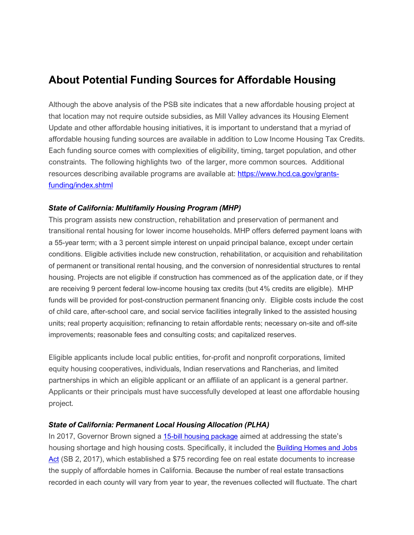## **About Potential Funding Sources for Affordable Housing**

Although the above analysis of the PSB site indicates that a new affordable housing project at that location may not require outside subsidies, as Mill Valley advances its Housing Element Update and other affordable housing initiatives, it is important to understand that a myriad of affordable housing funding sources are available in addition to Low Income Housing Tax Credits. Each funding source comes with complexities of eligibility, timing, target population, and other constraints. The following highlights two of the larger, more common sources. Additional resources describing available programs are available at: [https://www.hcd.ca.gov/grants](https://www.hcd.ca.gov/grants-funding/index.shtml)[funding/index.shtml](https://www.hcd.ca.gov/grants-funding/index.shtml)

#### *State of California: Multifamily Housing Program (MHP)*

This program assists new construction, rehabilitation and preservation of permanent and transitional rental housing for lower income households. MHP offers deferred payment loans with a 55-year term; with a 3 percent simple interest on unpaid principal balance, except under certain conditions. Eligible activities include new construction, rehabilitation, or acquisition and rehabilitation of permanent or transitional rental housing, and the conversion of nonresidential structures to rental housing. Projects are not eligible if construction has commenced as of the application date, or if they are receiving 9 percent federal low-income housing tax credits (but 4% credits are eligible). MHP funds will be provided for post-construction permanent financing only. Eligible costs include the cost of child care, after-school care, and social service facilities integrally linked to the assisted housing units; real property acquisition; refinancing to retain affordable rents; necessary on-site and off-site improvements; reasonable fees and consulting costs; and capitalized reserves.

Eligible applicants include local public entities, for-profit and nonprofit corporations, limited equity housing cooperatives, individuals, Indian reservations and Rancherias, and limited partnerships in which an eligible applicant or an affiliate of an applicant is a general partner. Applicants or their principals must have successfully developed at least one affordable housing project.

#### *State of California: Permanent Local Housing Allocation (PLHA)*

In 2017, Governor Brown signed a [15-bill housing package](https://www.hcd.ca.gov/policy-research/lhp.shtml) aimed at addressing the state's housing shortage and high housing costs. Specifically, it included the [Building Homes and Jobs](https://leginfo.legislature.ca.gov/faces/billTextClient.xhtml?bill_id=201720180SB2)  [Act](https://leginfo.legislature.ca.gov/faces/billTextClient.xhtml?bill_id=201720180SB2) (SB 2, 2017), which established a \$75 recording fee on real estate documents to increase the supply of affordable homes in California. Because the number of real estate transactions recorded in each county will vary from year to year, the revenues collected will fluctuate. The chart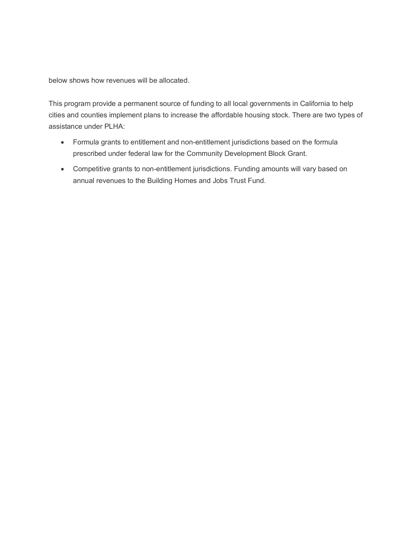below shows how revenues will be allocated.

This program provide a permanent source of funding to all local governments in California to help cities and counties implement plans to increase the affordable housing stock. There are two types of assistance under PLHA:

- Formula grants to entitlement and non-entitlement jurisdictions based on the formula prescribed under federal law for the Community Development Block Grant.
- Competitive grants to non-entitlement jurisdictions. Funding amounts will vary based on annual revenues to the Building Homes and Jobs Trust Fund.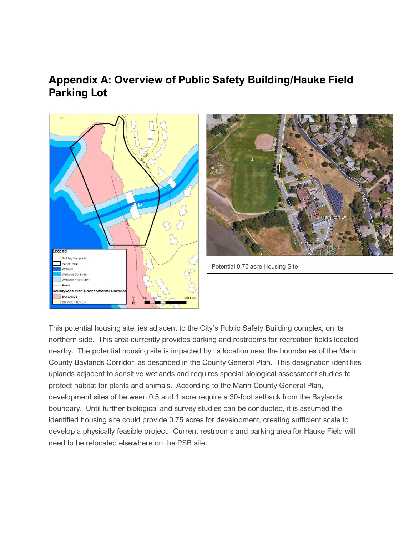### **Appendix A: Overview of Public Safety Building/Hauke Field Parking Lot**





Potential 0.75 acre Housing Site

This potential housing site lies adjacent to the City's Public Safety Building complex, on its northern side. This area currently provides parking and restrooms for recreation fields located nearby. The potential housing site is impacted by its location near the boundaries of the Marin County Baylands Corridor, as described in the County General Plan. This designation identifies uplands adjacent to sensitive wetlands and requires special biological assessment studies to protect habitat for plants and animals. According to the Marin County General Plan, development sites of between 0.5 and 1 acre require a 30-foot setback from the Baylands boundary. Until further biological and survey studies can be conducted, it is assumed the identified housing site could provide 0.75 acres for development, creating sufficient scale to develop a physically feasible project. Current restrooms and parking area for Hauke Field will need to be relocated elsewhere on the PSB site.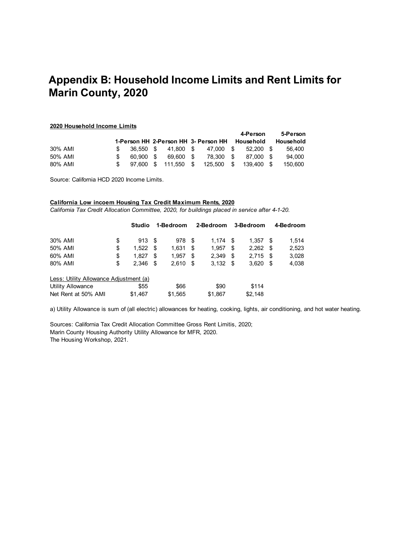## **Appendix B: Household Income Limits and Rent Limits for Marin County, 2020**

#### **2020 Household Income Limits**

|         |           |                      |                                                |      | 4-Person    | 5-Person         |
|---------|-----------|----------------------|------------------------------------------------|------|-------------|------------------|
|         |           |                      | 1-Person HH 2-Person HH 3- Person HH Household |      |             | <b>Household</b> |
| 30% AMI |           | 36.550 \$ 41.800 \$  | 47.000 \$                                      |      | $52.200$ \$ | 56.400           |
| 50% AMI | 60.900 \$ | 69.600 \$            | 78.300 \$                                      |      | 87.000 \$   | 94.000           |
| 80% AMI |           | 97.600 \$ 111.550 \$ | 125,500                                        | . \$ | 139.400 \$  | 150.600          |

Source: California HCD 2020 Income Limits.

#### **California Low incoem Housing Tax Credit Maximum Rents, 2020**

*California Tax Credit Allocation Committee, 2020, for buildings placed in service after 4-1-20.*

|                                        | <b>Studio</b> |      | 1-Bedroom |      | 2-Bedroom |      | 3-Bedroom |      | 4-Bedroom |
|----------------------------------------|---------------|------|-----------|------|-----------|------|-----------|------|-----------|
| 30% AMI                                | \$<br>913     | - \$ | 978       | - \$ | 1.174     | - \$ | 1.357     | - \$ | 1.514     |
| 50% AMI                                | \$<br>1.522   | - \$ | 1.631     | S    | 1.957     | \$   | 2.262     | - \$ | 2,523     |
| 60% AMI                                | \$<br>1.827   | \$   | 1.957     | S    | 2,349     | \$.  | 2.715     | - \$ | 3,028     |
| 80% AMI                                | \$<br>2.346   | - \$ | 2,610     | \$   | 3,132     | \$   | 3.620     | \$   | 4,038     |
| Less: Utility Allowance Adjustment (a) |               |      |           |      |           |      |           |      |           |
| <b>Utility Allowance</b>               | \$55          |      | \$66      |      | \$90      |      | \$114     |      |           |
| Net Rent at 50% AMI                    | \$1,467       |      | \$1,565   |      | \$1,867   |      | \$2,148   |      |           |

a) Utility Allowance is sum of (all electric) allowances for heating, cooking, lights, air conditioning, and hot water heating.

Sources: California Tax Credit Allocation Committee Gross Rent Limitis, 2020; Marin County Housing Authority Utility Allowance for MFR, 2020. The Housing Workshop, 2021.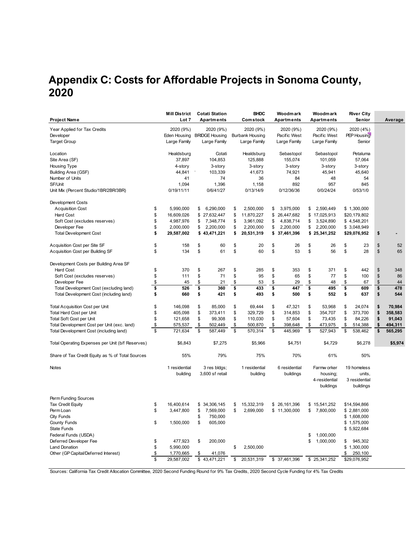# **Appendix C: Costs for Affordable Projects in Sonoma County, 2020**

|                                                  | <b>Mill District</b>         |                          | <b>Cotati Station</b>                 |                          | <b>BHDC</b>                            |                          | Woodmark                     |                          | Woodmark      | <b>River City</b>     |               |
|--------------------------------------------------|------------------------------|--------------------------|---------------------------------------|--------------------------|----------------------------------------|--------------------------|------------------------------|--------------------------|---------------|-----------------------|---------------|
| Project Name                                     | Lot 7                        |                          | Apartments                            |                          | Comstock                               |                          | Apartments                   |                          | Apartments    | Senior                | Average       |
| Year Applied for Tax Credits                     | 2020 (9%)                    |                          | 2020 (9%)                             |                          | 2020 (9%)                              |                          | 2020 (9%)                    |                          | 2020 (9%)     | 2020 (4%)             |               |
| Developer                                        |                              |                          |                                       |                          |                                        |                          |                              |                          |               |                       |               |
|                                                  | Eden Housing<br>Large Family |                          | <b>BRIDGE Housing</b><br>Large Family |                          | <b>Burbank Housing</b><br>Large Family |                          | Pacific West<br>Large Family |                          | Pacific West  | PEP Housing<br>Senior |               |
| <b>Target Group</b>                              |                              |                          |                                       |                          |                                        |                          |                              |                          | Large Family  |                       |               |
| Location                                         | Healdsburg                   |                          | Cotati                                |                          | Healdsburg                             |                          | Sebastopol                   |                          | Sebastopol    | Petaluma              |               |
| Site Area (SF)                                   | 37,897                       |                          | 104,853                               |                          | 125,888                                |                          | 155,074                      |                          | 101,059       | 57,064                |               |
| Housing Type                                     | 4-story                      |                          | 3-story                               |                          | 3-story                                |                          | 3-story                      |                          | 3-story       | 3-story               |               |
| Building Area (GSF)                              | 44,841                       |                          | 103,339                               |                          | 41,673                                 |                          | 74,921                       |                          | 45,941        | 45,640                |               |
| Number of Units                                  | 41                           |                          | 74                                    |                          | 36                                     |                          | 84                           |                          | 48            | 54                    |               |
| SF/Unit                                          | 1,094                        |                          | 1,396                                 |                          | 1,158                                  |                          | 892                          |                          | 957           | 845                   |               |
| Unit Mix (Percent Studio/1BR/2BR/3BR)            | 0/19/11/11                   |                          | 0/6/41/27                             |                          | 0/13/14/9                              |                          | 0/12/36/36                   |                          | 0/0/24/24     | 0/53/1/0              |               |
| Development Costs                                |                              |                          |                                       |                          |                                        |                          |                              |                          |               |                       |               |
| <b>Acquisition Cost</b>                          | \$<br>5,990,000              | \$                       | 6,290,000                             | \$                       | 2,500,000                              | \$                       | 3,975,000                    | \$                       | 2,590,449     | \$1,300,000           |               |
| <b>Hard Cost</b>                                 | \$<br>16,609,026             | \$                       | 27,632,447                            | \$                       | 11,870,227                             | \$                       | 26,447,682                   |                          | \$17,025,913  | \$20,179,802          |               |
| Soft Cost (excludes reserves)                    | \$<br>4,987,976              | \$                       | 7,348,774                             | \$                       | 3,961,092                              | \$                       | 4,838,714                    | \$                       | 3,524,890     | \$4,548,201           |               |
| Developer Fee                                    | \$<br>2,000,000              | \$                       | 2,200,000                             | \$                       | 2,200,000                              | \$                       | 2,200,000                    | \$                       | 2,200,000     | \$3,048,949           |               |
| <b>Total Development Cost</b>                    | \$<br>29,587,002             |                          | \$43,471,221                          | \$                       | 20,531,319                             |                          | \$37,461,396                 |                          | \$25,341,252  | \$29,076,952          | \$            |
| Acquisition Cost per Site SF                     | \$<br>158                    | \$                       | 60                                    | \$                       | 20                                     | \$                       | 26                           | \$                       | 26            | \$<br>23              | \$<br>52      |
| Acquisition Cost per Building SF                 | \$<br>134                    | \$                       | 61                                    | \$                       | 60                                     | \$                       | 53                           | \$                       | 56            | \$<br>28              | \$<br>65      |
|                                                  |                              |                          |                                       |                          |                                        |                          |                              |                          |               |                       |               |
| Development Costs per Building Area SF           |                              |                          |                                       |                          |                                        |                          |                              |                          |               |                       |               |
| <b>Hard Cost</b>                                 | \$<br>370                    | \$                       | 267                                   | \$                       | 285                                    | \$                       | 353                          | \$                       | 371           | \$<br>442             | \$<br>348     |
| Soft Cost (excludes reserves)                    | \$<br>111                    | \$                       | 71                                    | \$                       | 95                                     | \$                       | 65                           | \$                       | 77            | \$<br>100             | \$<br>86      |
| Developer Fee                                    | \$<br>45                     | \$                       | 21                                    | \$                       | 53                                     | \$                       | 29                           | \$                       | 48            | \$<br>67              | \$<br>44      |
| Total Development Cost (excluding land)          | \$<br>526                    | \$                       | 360                                   | \$                       | 433                                    | \$                       | 447                          | \$                       | 495           | \$<br>609             | \$<br>478     |
| Total Development Cost (including land)          | \$<br>660                    | \$                       | 421                                   | \$                       | 493                                    | \$                       | 500                          | \$                       | 552           | \$<br>637             | \$<br>544     |
| Total Acquisition Cost per Unit                  | \$<br>146,098                | \$                       | 85,000                                | \$                       | 69,444                                 | \$                       | 47,321                       | \$                       | 53,968        | \$<br>24,074          | \$<br>70.984  |
| Total Hard Cost per Unit                         | \$<br>405,098                | \$                       | 373,411                               | \$                       | 329,729                                | \$                       | 314,853                      | \$                       | 354,707       | \$<br>373,700         | \$<br>358,583 |
| Total Soft Cost per Unit                         | \$<br>121,658                | \$                       | 99,308                                | \$                       | 110,030                                | \$                       | 57,604                       | \$                       | 73,435        | \$<br>84,226          | \$<br>91,043  |
| Total Development Cost per Unit (exc. land)      | \$<br>575,537                | \$                       | 502,449                               | \$                       | 500,870                                | \$                       | 398,648                      | \$                       | 473,975       | \$<br>514,388         | \$<br>494,311 |
| Total Development Cost (including land)          | \$<br>721,634                | $\overline{\mathcal{S}}$ | 587,449                               | $\overline{\mathcal{S}}$ | 570,314                                | $\overline{\mathcal{S}}$ | 445,969                      | $\overline{\mathcal{S}}$ | 527,943       | \$<br>538,462         | \$<br>565,295 |
| Total Operating Expenses per Unit (b/f Reserves) | \$6,843                      |                          | \$7,275                               |                          | \$5,966                                |                          | \$4,751                      |                          | \$4,729       | \$6,278               | \$5,974       |
| Share of Tax Credit Equity as % of Total Sources | 55%                          |                          | 79%                                   |                          | 75%                                    |                          | 70%                          |                          | 61%           | 50%                   |               |
| <b>Notes</b>                                     | 1 residential                |                          | 3 res bldgs;                          |                          | 1 residential                          |                          | 6 residential                |                          | Farmw orker   | 19 homeless           |               |
|                                                  | building                     |                          | 3,600 sf retail                       |                          | building                               |                          | buildings                    |                          | housing;      | units.                |               |
|                                                  |                              |                          |                                       |                          |                                        |                          |                              |                          | 4-residential | 3 residential         |               |
|                                                  |                              |                          |                                       |                          |                                        |                          |                              |                          | buildings     | buildings             |               |
| Perm Funding Sources                             |                              |                          |                                       |                          |                                        |                          |                              |                          |               |                       |               |
| Tax Credit Equity                                | \$<br>16,400,614             | \$                       | 34,306,145                            | \$                       | 15,332,319                             |                          | \$26,161,396                 |                          | \$15,541,252  | \$14,594,866          |               |
| Perm Loan                                        | \$<br>3,447,800              | \$                       | 7,569,000                             | \$                       | 2,699,000                              |                          | \$11,300,000                 | \$                       | 7,800,000     | \$2,881,000           |               |
| <b>City Funds</b>                                |                              | \$                       | 750,000                               |                          |                                        |                          |                              |                          |               | \$1,608,000           |               |
| <b>County Funds</b>                              | \$<br>1,500,000              | \$                       | 605,000                               |                          |                                        |                          |                              |                          |               | \$1,575,000           |               |
| <b>State Funds</b>                               |                              |                          |                                       |                          |                                        |                          |                              |                          |               | \$5,922,684           |               |
| Federal Funds (USDA)                             |                              |                          |                                       |                          |                                        |                          |                              | \$                       | 1,000,000     |                       |               |
| Deferred Developer Fee                           | \$<br>477,923                | \$                       | 200,000                               |                          |                                        |                          |                              | \$                       | 1,000,000     | \$<br>945,302         |               |
| <b>Land Donation</b>                             | \$<br>5,990,000              |                          |                                       | \$                       | 2,500,000                              |                          |                              |                          |               | \$1,300,000           |               |
| Other (GP Capital/Deferred Interest)             | \$<br>1,770,665              | \$                       | 41,076                                |                          |                                        |                          |                              |                          |               | \$<br>250,100         |               |
|                                                  | \$<br>29,587,002             | \$                       | 43,471,221                            | \$                       | 20,531,319                             |                          | \$ 37,461,396                |                          | \$25,341,252  | \$29,076,952          |               |
|                                                  |                              |                          |                                       |                          |                                        |                          |                              |                          |               |                       |               |

Sources: California Tax Credit Allocation Committee, 2020 Second Funding Round for 9% Tax Credits, 2020 Second Cycle Funding for 4% Tax Credits